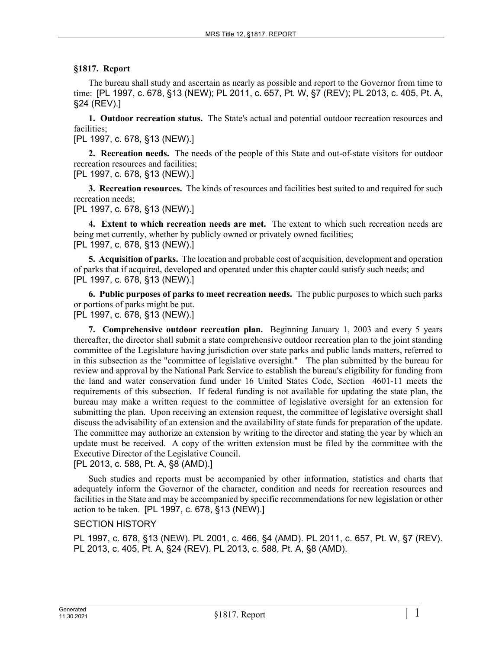## **§1817. Report**

The bureau shall study and ascertain as nearly as possible and report to the Governor from time to time: [PL 1997, c. 678, §13 (NEW); PL 2011, c. 657, Pt. W, §7 (REV); PL 2013, c. 405, Pt. A, §24 (REV).]

**1. Outdoor recreation status.** The State's actual and potential outdoor recreation resources and facilities;

[PL 1997, c. 678, §13 (NEW).]

**2. Recreation needs.** The needs of the people of this State and out-of-state visitors for outdoor recreation resources and facilities;

[PL 1997, c. 678, §13 (NEW).]

**3. Recreation resources.** The kinds of resources and facilities best suited to and required for such recreation needs;

[PL 1997, c. 678, §13 (NEW).]

**4. Extent to which recreation needs are met.** The extent to which such recreation needs are being met currently, whether by publicly owned or privately owned facilities; [PL 1997, c. 678, §13 (NEW).]

**5. Acquisition of parks.** The location and probable cost of acquisition, development and operation of parks that if acquired, developed and operated under this chapter could satisfy such needs; and [PL 1997, c. 678, §13 (NEW).]

**6. Public purposes of parks to meet recreation needs.** The public purposes to which such parks or portions of parks might be put.

[PL 1997, c. 678, §13 (NEW).]

**7. Comprehensive outdoor recreation plan.** Beginning January 1, 2003 and every 5 years thereafter, the director shall submit a state comprehensive outdoor recreation plan to the joint standing committee of the Legislature having jurisdiction over state parks and public lands matters, referred to in this subsection as the "committee of legislative oversight." The plan submitted by the bureau for review and approval by the National Park Service to establish the bureau's eligibility for funding from the land and water conservation fund under 16 United States Code, Section 4601-11 meets the requirements of this subsection. If federal funding is not available for updating the state plan, the bureau may make a written request to the committee of legislative oversight for an extension for submitting the plan. Upon receiving an extension request, the committee of legislative oversight shall discuss the advisability of an extension and the availability of state funds for preparation of the update. The committee may authorize an extension by writing to the director and stating the year by which an update must be received. A copy of the written extension must be filed by the committee with the Executive Director of the Legislative Council.

[PL 2013, c. 588, Pt. A, §8 (AMD).]

Such studies and reports must be accompanied by other information, statistics and charts that adequately inform the Governor of the character, condition and needs for recreation resources and facilities in the State and may be accompanied by specific recommendations for new legislation or other action to be taken. [PL 1997, c. 678, §13 (NEW).]

## SECTION HISTORY

PL 1997, c. 678, §13 (NEW). PL 2001, c. 466, §4 (AMD). PL 2011, c. 657, Pt. W, §7 (REV). PL 2013, c. 405, Pt. A, §24 (REV). PL 2013, c. 588, Pt. A, §8 (AMD).